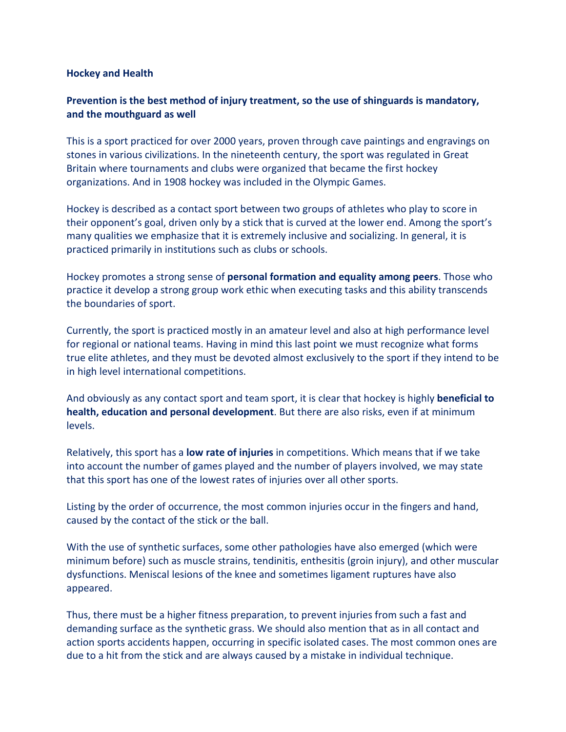## **Hockey and Health**

## **Prevention is the best method of injury treatment, so the use of shinguards is mandatory, and the mouthguard as well**

This is a sport practiced for over 2000 years, proven through cave paintings and engravings on stones in various civilizations. In the nineteenth century, the sport was regulated in Great Britain where tournaments and clubs were organized that became the first hockey organizations. And in 1908 hockey was included in the Olympic Games.

Hockey is described as a contact sport between two groups of athletes who play to score in their opponent's goal, driven only by a stick that is curved at the lower end. Among the sport's many qualities we emphasize that it is extremely inclusive and socializing. In general, it is practiced primarily in institutions such as clubs or schools.

Hockey promotes a strong sense of **personal formation and equality among peers**. Those who practice it develop a strong group work ethic when executing tasks and this ability transcends the boundaries of sport.

Currently, the sport is practiced mostly in an amateur level and also at high performance level for regional or national teams. Having in mind this last point we must recognize what forms true elite athletes, and they must be devoted almost exclusively to the sport if they intend to be in high level international competitions.

And obviously as any contact sport and team sport, it is clear that hockey is highly **beneficial to health, education and personal development**. But there are also risks, even if at minimum levels.

Relatively, this sport has a **low rate of injuries** in competitions. Which means that if we take into account the number of games played and the number of players involved, we may state that this sport has one of the lowest rates of injuries over all other sports.

Listing by the order of occurrence, the most common injuries occur in the fingers and hand, caused by the contact of the stick or the ball.

With the use of synthetic surfaces, some other pathologies have also emerged (which were minimum before) such as muscle strains, tendinitis, enthesitis (groin injury), and other muscular dysfunctions. Meniscal lesions of the knee and sometimes ligament ruptures have also appeared.

Thus, there must be a higher fitness preparation, to prevent injuries from such a fast and demanding surface as the synthetic grass. We should also mention that as in all contact and action sports accidents happen, occurring in specific isolated cases. The most common ones are due to a hit from the stick and are always caused by a mistake in individual technique.